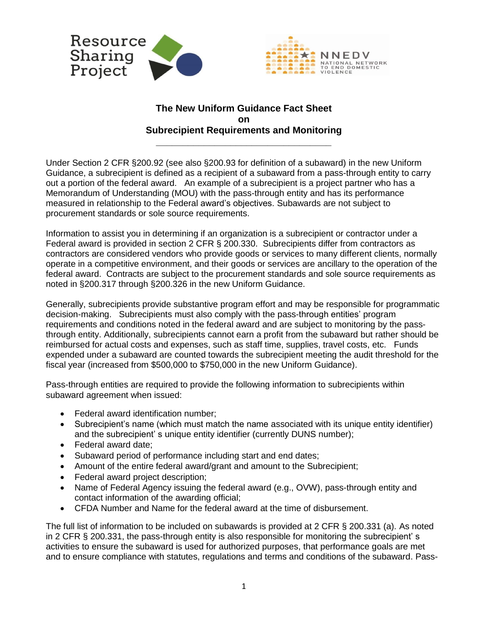



## **The New Uniform Guidance Fact Sheet on Subrecipient Requirements and Monitoring**

**\_\_\_\_\_\_\_\_\_\_\_\_\_\_\_\_\_\_\_\_\_\_\_\_\_\_\_\_\_\_\_\_\_**

Under Section 2 CFR §200.92 (see also §200.93 for definition of a subaward) in the new Uniform Guidance, a subrecipient is defined as a recipient of a subaward from a pass-through entity to carry out a portion of the federal award. An example of a subrecipient is a project partner who has a Memorandum of Understanding (MOU) with the pass-through entity and has its performance measured in relationship to the Federal award's objectives. Subawards are not subject to procurement standards or sole source requirements.

Information to assist you in determining if an organization is a subrecipient or contractor under a Federal award is provided in section 2 CFR § 200.330. Subrecipients differ from contractors as contractors are considered vendors who provide goods or services to many different clients, normally operate in a competitive environment, and their goods or services are ancillary to the operation of the federal award. Contracts are subject to the procurement standards and sole source requirements as noted in §200.317 through §200.326 in the new Uniform Guidance.

Generally, subrecipients provide substantive program effort and may be responsible for programmatic decision-making. Subrecipients must also comply with the pass-through entities' program requirements and conditions noted in the federal award and are subject to monitoring by the passthrough entity. Additionally, subrecipients cannot earn a profit from the subaward but rather should be reimbursed for actual costs and expenses, such as staff time, supplies, travel costs, etc. Funds expended under a subaward are counted towards the subrecipient meeting the audit threshold for the fiscal year (increased from \$500,000 to \$750,000 in the new Uniform Guidance).

Pass-through entities are required to provide the following information to subrecipients within subaward agreement when issued:

- Federal award identification number;
- Subrecipient's name (which must match the name associated with its unique entity identifier) and the subrecipient' s unique entity identifier (currently DUNS number);
- Federal award date;
- Subaward period of performance including start and end dates;
- Amount of the entire federal award/grant and amount to the Subrecipient;
- Federal award project description;
- Name of Federal Agency issuing the federal award (e.g., OVW), pass-through entity and contact information of the awarding official;
- CFDA Number and Name for the federal award at the time of disbursement.

The full list of information to be included on subawards is provided at 2 CFR § 200.331 (a). As noted in 2 CFR § 200.331, the pass-through entity is also responsible for monitoring the subrecipient' s activities to ensure the subaward is used for authorized purposes, that performance goals are met and to ensure compliance with statutes, regulations and terms and conditions of the subaward. Pass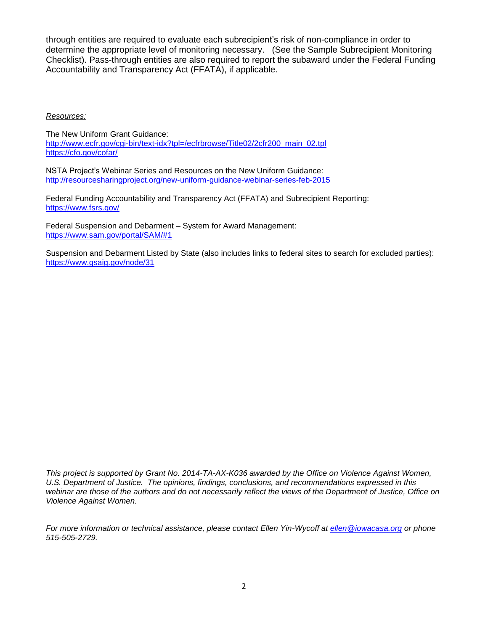through entities are required to evaluate each subrecipient's risk of non-compliance in order to determine the appropriate level of monitoring necessary. (See the Sample Subrecipient Monitoring Checklist). Pass-through entities are also required to report the subaward under the Federal Funding Accountability and Transparency Act (FFATA), if applicable.

*Resources:*

The New Uniform Grant Guidance: [http://www.ecfr.gov/cgi-bin/text-idx?tpl=/ecfrbrowse/Title02/2cfr200\\_main\\_02.tpl](http://www.ecfr.gov/cgi-bin/text-idx?tpl=/ecfrbrowse/Title02/2cfr200_main_02.tpl) <https://cfo.gov/cofar/>

NSTA Project's Webinar Series and Resources on the New Uniform Guidance: <http://resourcesharingproject.org/new-uniform-guidance-webinar-series-feb-2015>

Federal Funding Accountability and Transparency Act (FFATA) and Subrecipient Reporting: <https://www.fsrs.gov/>

Federal Suspension and Debarment – System for Award Management: <https://www.sam.gov/portal/SAM/#1>

Suspension and Debarment Listed by State (also includes links to federal sites to search for excluded parties): <https://www.gsaig.gov/node/31>

*This project is supported by Grant No. 2014-TA-AX-K036 awarded by the Office on Violence Against Women, U.S. Department of Justice. The opinions, findings, conclusions, and recommendations expressed in this webinar are those of the authors and do not necessarily reflect the views of the Department of Justice, Office on Violence Against Women.*

*For more information or technical assistance, please contact Ellen Yin-Wycoff at [ellen@iowacasa.org](mailto:ellen@iowacasa.org) or phone 515-505-2729.*